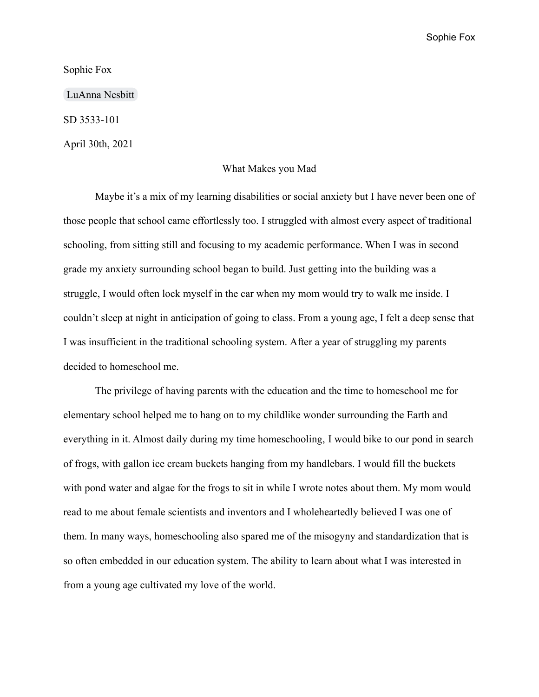Sophie Fox

Sophie Fox

[LuAnna Nesbitt](mailto:nesbittcl@appstate.edu)

SD 3533-101

April 30th, 2021

## What Makes you Mad

Maybe it's a mix of my learning disabilities or social anxiety but I have never been one of those people that school came effortlessly too. I struggled with almost every aspect of traditional schooling, from sitting still and focusing to my academic performance. When I was in second grade my anxiety surrounding school began to build. Just getting into the building was a struggle, I would often lock myself in the car when my mom would try to walk me inside. I couldn't sleep at night in anticipation of going to class. From a young age, I felt a deep sense that I was insufficient in the traditional schooling system. After a year of struggling my parents decided to homeschool me.

The privilege of having parents with the education and the time to homeschool me for elementary school helped me to hang on to my childlike wonder surrounding the Earth and everything in it. Almost daily during my time homeschooling, I would bike to our pond in search of frogs, with gallon ice cream buckets hanging from my handlebars. I would fill the buckets with pond water and algae for the frogs to sit in while I wrote notes about them. My mom would read to me about female scientists and inventors and I wholeheartedly believed I was one of them. In many ways, homeschooling also spared me of the misogyny and standardization that is so often embedded in our education system. The ability to learn about what I was interested in from a young age cultivated my love of the world.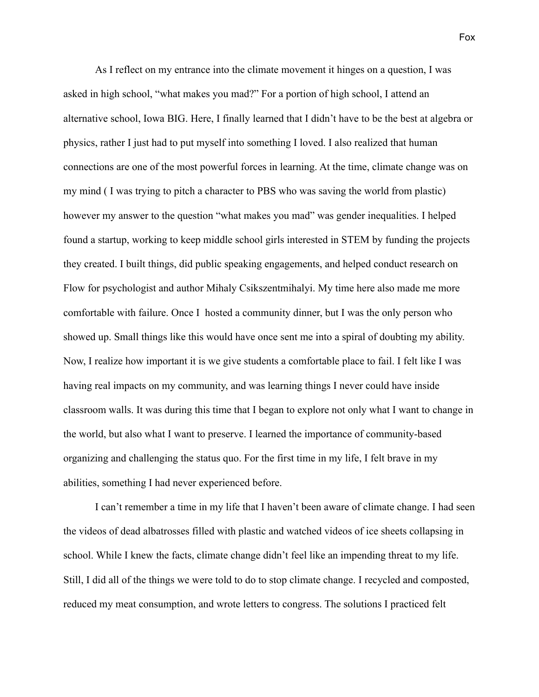As I reflect on my entrance into the climate movement it hinges on a question, I was asked in high school, "what makes you mad?" For a portion of high school, I attend an alternative school, Iowa BIG. Here, I finally learned that I didn't have to be the best at algebra or physics, rather I just had to put myself into something I loved. I also realized that human connections are one of the most powerful forces in learning. At the time, climate change was on my mind ( I was trying to pitch a character to PBS who was saving the world from plastic) however my answer to the question "what makes you mad" was gender inequalities. I helped found a startup, working to keep middle school girls interested in STEM by funding the projects they created. I built things, did public speaking engagements, and helped conduct research on Flow for psychologist and author Mihaly Csikszentmihalyi. My time here also made me more comfortable with failure. Once I hosted a community dinner, but I was the only person who showed up. Small things like this would have once sent me into a spiral of doubting my ability. Now, I realize how important it is we give students a comfortable place to fail. I felt like I was having real impacts on my community, and was learning things I never could have inside classroom walls. It was during this time that I began to explore not only what I want to change in the world, but also what I want to preserve. I learned the importance of community-based organizing and challenging the status quo. For the first time in my life, I felt brave in my abilities, something I had never experienced before.

I can't remember a time in my life that I haven't been aware of climate change. I had seen the videos of dead albatrosses filled with plastic and watched videos of ice sheets collapsing in school. While I knew the facts, climate change didn't feel like an impending threat to my life. Still, I did all of the things we were told to do to stop climate change. I recycled and composted, reduced my meat consumption, and wrote letters to congress. The solutions I practiced felt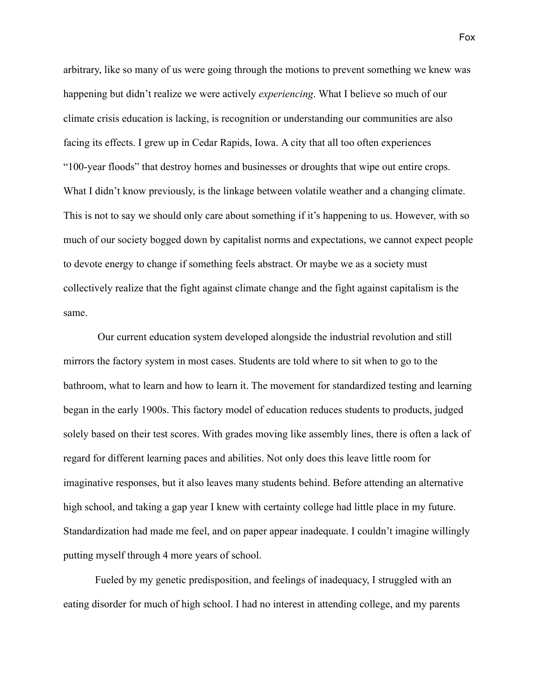arbitrary, like so many of us were going through the motions to prevent something we knew was happening but didn't realize we were actively *experiencing*. What I believe so much of our climate crisis education is lacking, is recognition or understanding our communities are also facing its effects. I grew up in Cedar Rapids, Iowa. A city that all too often experiences "100-year floods" that destroy homes and businesses or droughts that wipe out entire crops. What I didn't know previously, is the linkage between volatile weather and a changing climate. This is not to say we should only care about something if it's happening to us. However, with so much of our society bogged down by capitalist norms and expectations, we cannot expect people to devote energy to change if something feels abstract. Or maybe we as a society must collectively realize that the fight against climate change and the fight against capitalism is the same.

Our current education system developed alongside the industrial revolution and still mirrors the factory system in most cases. Students are told where to sit when to go to the bathroom, what to learn and how to learn it. The movement for standardized testing and learning began in the early 1900s. This factory model of education reduces students to products, judged solely based on their test scores. With grades moving like assembly lines, there is often a lack of regard for different learning paces and abilities. Not only does this leave little room for imaginative responses, but it also leaves many students behind. Before attending an alternative high school, and taking a gap year I knew with certainty college had little place in my future. Standardization had made me feel, and on paper appear inadequate. I couldn't imagine willingly putting myself through 4 more years of school.

Fueled by my genetic predisposition, and feelings of inadequacy, I struggled with an eating disorder for much of high school. I had no interest in attending college, and my parents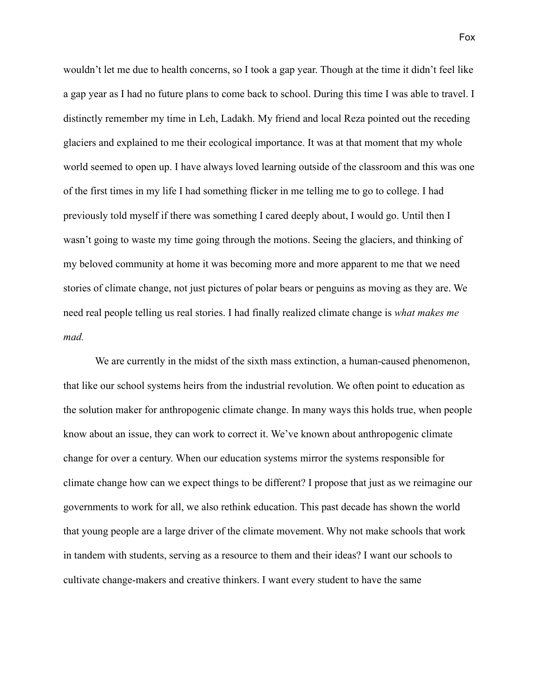wouldn't let me due to health concerns, so I took a gap year. Though at the time it didn't feel like a gap year as I had no future plans to come back to school. During this time I was able to travel. I distinctly remember my time in Leh, Ladakh. My friend and local Reza pointed out the receding glaciers and explained to me their ecological importance. It was at that moment that my whole world seemed to open up. I have always loved learning outside of the classroom and this was one of the first times in my life I had something flicker in me telling me to go to college. I had previously told myself if there was something I cared deeply about, I would go. Until then I wasn't going to waste my time going through the motions. Seeing the glaciers, and thinking of my beloved community at home it was becoming more and more apparent to me that we need stories of climate change, not just pictures of polar bears or penguins as moving as they are. We need real people telling us real stories. I had finally realized climate change is *what makes me mad.*

We are currently in the midst of the sixth mass extinction, a human-caused phenomenon, that like our school systems heirs from the industrial revolution. We often point to education as the solution maker for anthropogenic climate change. In many ways this holds true, when people know about an issue, they can work to correct it. We've known about anthropogenic climate change for over a century. When our education systems mirror the systems responsible for climate change how can we expect things to be different? I propose that just as we reimagine our governments to work for all, we also rethink education. This past decade has shown the world that young people are a large driver of the climate movement. Why not make schools that work in tandem with students, serving as a resource to them and their ideas? I want our schools to cultivate change-makers and creative thinkers. I want every student to have the same